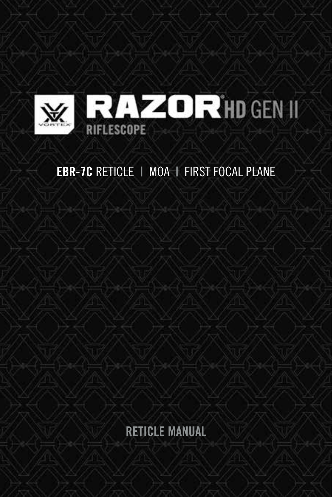

# **EBR-7C RETICLE | MOA | FIRST FOCAL PLANE**

RETICLE MANUAL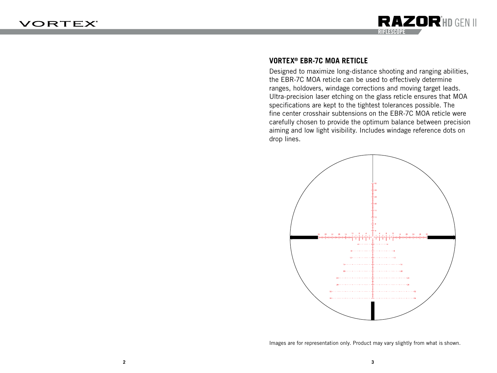

## **VORTEX® EBR-7C MOA RETICLE**

Designed to maximize long-distance shooting and ranging abilities, the EBR-7C MOA reticle can be used to effectively determine ranges, holdovers, windage corrections and moving target leads. Ultra-precision laser etching on the glass reticle ensures that MOA specifications are kept to the tightest tolerances possible. The fine center crosshair subtensions on the EBR-7C MOA reticle were carefully chosen to provide the optimum balance between precision aiming and low light visibility. Includes windage reference dots on drop lines.



Images are for representation only. Product may vary slightly from what is shown.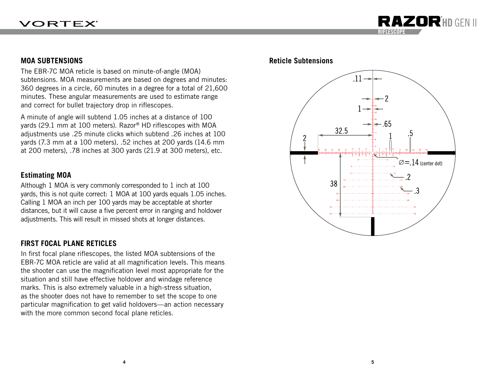

The EBR-7C MOA reticle is based on minute-of-angle (MOA) subtensions. MOA measurements are based on degrees and minutes: 360 degrees in a circle, 60 minutes in a degree for a total of 21,600 minutes. These angular measurements are used to estimate range and correct for bullet trajectory drop in riflescopes.

A minute of angle will subtend 1.05 inches at a distance of 100 yards (29.1 mm at 100 meters). Razor® HD riflescopes with MOA adjustments use .25 minute clicks which subtend .26 inches at 100 yards (7.3 mm at a 100 meters), .52 inches at 200 yards (14.6 mm at 200 meters), .78 inches at 300 yards (21.9 at 300 meters), etc.

#### **Estimating MOA**

Although 1 MOA is very commonly corresponded to 1 inch at 100 yards, this is not quite correct: 1 MOA at 100 yards equals 1.05 inches. Calling 1 MOA an inch per 100 yards may be acceptable at shorter distances, but it will cause a five percent error in ranging and holdover adjustments. This will result in missed shots at longer distances.

#### **FIRST FOCAL PLANE RETICLES**

In first focal plane riflescopes, the listed MOA subtensions of the EBR-7C MOA reticle are valid at all magnification levels. This means the shooter can use the magnification level most appropriate for the situation and still have effective holdover and windage reference marks. This is also extremely valuable in a high-stress situation, as the shooter does not have to remember to set the scope to one particular magnification to get valid holdovers—an action necessary with the more common second focal plane reticles.



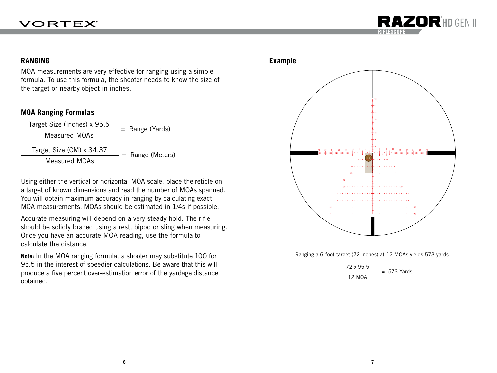## **VORTEX**



#### **RANGING Example**

MOA measurements are very effective for ranging using a simple formula. To use this formula, the shooter needs to know the size of the target or nearby object in inches.

#### **MOA Ranging Formulas**

 $\frac{\text{Target Size (Inches)} \times 95.5}{\text{Measurement MOAs}}$  = Range (Yards)

Target Size  $(CM) \times 34.37$ <br>Measured MOAs = Range (Meters)

Using either the vertical or horizontal MOA scale, place the reticle on a target of known dimensions and read the number of MOAs spanned. You will obtain maximum accuracy in ranging by calculating exact MOA measurements. MOAs should be estimated in 1/4s if possible.

Accurate measuring will depend on a very steady hold. The rifle should be solidly braced using a rest, bipod or sling when measuring. Once you have an accurate MOA reading, use the formula to calculate the distance.

**Note:** In the MOA ranging formula, a shooter may substitute 100 for 95.5 in the interest of speedier calculations. Be aware that this will produce a five percent over-estimation error of the yardage distance obtained.





Ranging a 6-foot target (72 inches) at 12 MOAs yields 573 yards.

$$
\frac{72 \times 95.5}{12 \text{ MOA}} = 573 \text{ Yards}
$$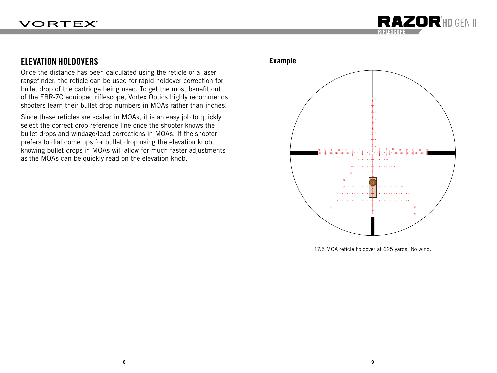

## ELEVATION HOLDOVERS

Once the distance has been calculated using the reticle or a laser rangefinder, the reticle can be used for rapid holdover correction for bullet drop of the cartridge being used. To get the most benefit out of the EBR-7C equipped riflescope, Vortex Optics highly recommends shooters learn their bullet drop numbers in MOAs rather than inches.

Since these reticles are scaled in MOAs, it is an easy job to quickly select the correct drop reference line once the shooter knows the bullet drops and windage/lead corrections in MOAs. If the shooter prefers to dial come ups for bullet drop using the elevation knob, knowing bullet drops in MOAs will allow for much faster adjustments as the MOAs can be quickly read on the elevation knob.

#### **Example**



17.5 MOA reticle holdover at 625 yards. No wind.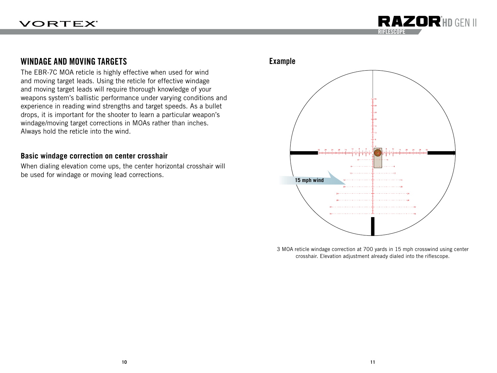

## WINDAGE AND MOVING TARGETS

The EBR-7C MOA reticle is highly effective when used for wind and moving target leads. Using the reticle for effective windage and moving target leads will require thorough knowledge of your weapons system's ballistic performance under varying conditions and experience in reading wind strengths and target speeds. As a bullet drops, it is important for the shooter to learn a particular weapon's windage/moving target corrections in MOAs rather than inches. Always hold the reticle into the wind.

#### **Basic windage correction on center crosshair**

When dialing elevation come ups, the center horizontal crosshair will be used for windage or moving lead corrections.

### Example



3 MOA reticle windage correction at 700 yards in 15 mph crosswind using center crosshair. Elevation adjustment already dialed into the riflescope.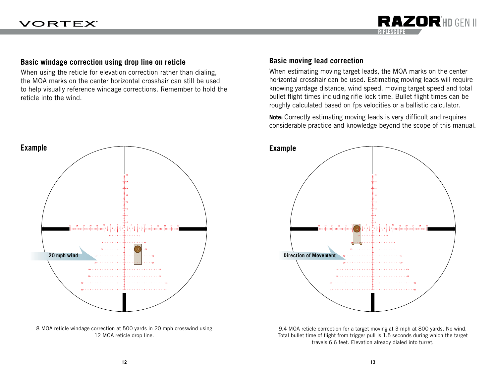

#### **Basic windage correction using drop line on reticle**

When using the reticle for elevation correction rather than dialing, the MOA marks on the center horizontal crosshair can still be used to help visually reference windage corrections. Remember to hold the reticle into the wind.



8 MOA reticle windage correction at 500 yards in 20 mph crosswind using 12 MOA reticle drop line.

#### **Basic moving lead correction**

When estimating moving target leads, the MOA marks on the center horizontal crosshair can be used. Estimating moving leads will require knowing yardage distance, wind speed, moving target speed and total bullet flight times including rifle lock time. Bullet flight times can be roughly calculated based on fps velocities or a ballistic calculator.

**Note:** Correctly estimating moving leads is very difficult and requires considerable practice and knowledge beyond the scope of this manual.



9.4 MOA reticle correction for a target moving at 3 mph at 800 yards. No wind. Total bullet time of flight from trigger pull is 1.5 seconds during which the target travels 6.6 feet. Elevation already dialed into turret.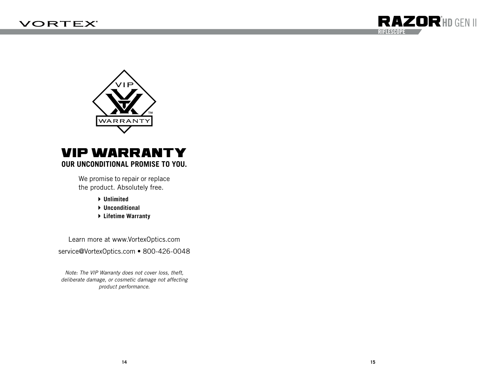



# VIP WARRANTY **OUR UNCONDITIONAL PROMISE TO YOU.**

We promise to repair or replace the product. Absolutely free.

- **Unlimited**
- **Unconditional**
- **Lifetime Warranty**

Learn more at www.VortexOptics.com service@VortexOptics.com • 800-426-0048

*Note: The VIP Warranty does not cover loss, theft, deliberate damage, or cosmetic damage not affecting product performance.*